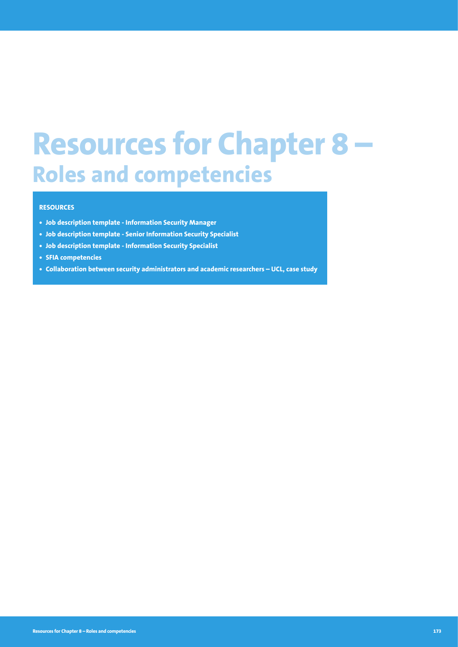# **Resources for Chapter 8 – Roles and competencies**

### **RESOURCES**

- **• Job description template Information Security Manager**
- **• Job description template Senior Information Security Specialist**
- **• Job description template Information Security Specialist**
- **• SFIA competencies**
- **• Collaboration between security administrators and academic researchers UCL, case study**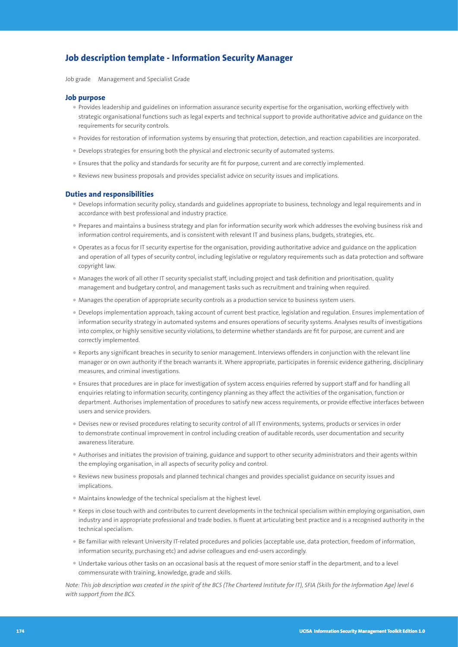# **Job description template - Information Security Manager**

Job grade Management and Specialist Grade

#### **Job purpose**

- Provides leadership and guidelines on information assurance security expertise for the organisation, working effectively with strategic organisational functions such as legal experts and technical support to provide authoritative advice and guidance on the requirements for security controls.
- Provides for restoration of information systems by ensuring that protection, detection, and reaction capabilities are incorporated.
- Develops strategies for ensuring both the physical and electronic security of automated systems.
- Ensures that the policy and standards for security are fit for purpose, current and are correctly implemented.
- Reviews new business proposals and provides specialist advice on security issues and implications.

#### **Duties and responsibilities**

- Develops information security policy, standards and guidelines appropriate to business, technology and legal requirements and in accordance with best professional and industry practice.
- Prepares and maintains a business strategy and plan for information security work which addresses the evolving business risk and information control requirements, and is consistent with relevant IT and business plans, budgets, strategies, etc.
- Operates as a focus for IT security expertise for the organisation, providing authoritative advice and guidance on the application and operation of all types of security control, including legislative or regulatory requirements such as data protection and software copyright law.
- Manages the work of all other IT security specialist staff, including project and task definition and prioritisation, quality management and budgetary control, and management tasks such as recruitment and training when required.
- Manages the operation of appropriate security controls as a production service to business system users.
- Develops implementation approach, taking account of current best practice, legislation and regulation. Ensures implementation of information security strategy in automated systems and ensures operations of security systems. Analyses results of investigations into complex, or highly sensitive security violations, to determine whether standards are fit for purpose, are current and are correctly implemented.
- Reports any significant breaches in security to senior management. Interviews offenders in conjunction with the relevant line manager or on own authority if the breach warrants it. Where appropriate, participates in forensic evidence gathering, disciplinary measures, and criminal investigations.
- Ensures that procedures are in place for investigation of system access enquiries referred by support staff and for handling all enquiries relating to information security, contingency planning as they affect the activities of the organisation, function or department. Authorises implementation of procedures to satisfy new access requirements, or provide effective interfaces between users and service providers.
- Devises new or revised procedures relating to security control of all IT environments, systems, products or services in order to demonstrate continual improvement in control including creation of auditable records, user documentation and security awareness literature.
- Authorises and initiates the provision of training, guidance and support to other security administrators and their agents within the employing organisation, in all aspects of security policy and control.
- Reviews new business proposals and planned technical changes and provides specialist guidance on security issues and implications.
- Maintains knowledge of the technical specialism at the highest level.
- Keeps in close touch with and contributes to current developments in the technical specialism within employing organisation, own industry and in appropriate professional and trade bodies. Is fluent at articulating best practice and is a recognised authority in the technical specialism.
- Be familiar with relevant University IT-related procedures and policies (acceptable use, data protection, freedom of information, information security, purchasing etc) and advise colleagues and end-users accordingly.
- Undertake various other tasks on an occasional basis at the request of more senior staff in the department, and to a level commensurate with training, knowledge, grade and skills.

*Note: This job description was created in the spirit of the BCS (The Chartered Institute for IT), SFIA (Skills for the Information Age) level 6 with support from the BCS.*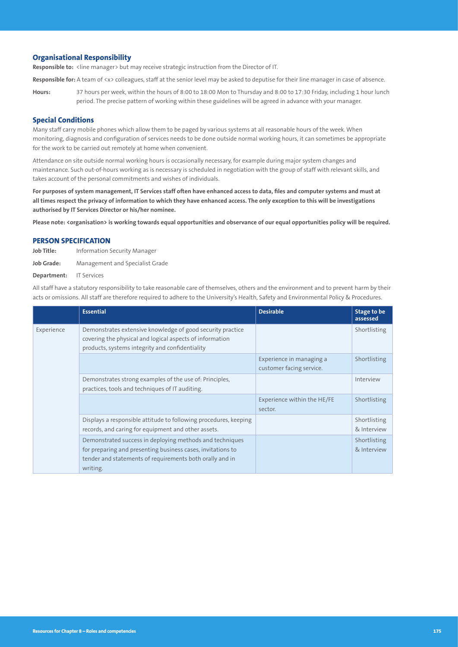#### **Organisational Responsibility**

**Responsible to:** <line manager> but may receive strategic instruction from the Director of IT.

Responsible for: A team of <x> colleagues, staff at the senior level may be asked to deputise for their line manager in case of absence.

**Hours:** 37 hours per week, within the hours of 8:00 to 18:00 Mon to Thursday and 8:00 to 17:30 Friday, including 1 hour lunch period. The precise pattern of working within these guidelines will be agreed in advance with your manager.

#### **Special Conditions**

Many staff carry mobile phones which allow them to be paged by various systems at all reasonable hours of the week. When monitoring, diagnosis and configuration of services needs to be done outside normal working hours, it can sometimes be appropriate for the work to be carried out remotely at home when convenient.

Attendance on site outside normal working hours is occasionally necessary, for example during major system changes and maintenance. Such out-of-hours working as is necessary is scheduled in negotiation with the group of staff with relevant skills, and takes account of the personal commitments and wishes of individuals.

**For purposes of system management, IT Services staff often have enhanced access to data, files and computer systems and must at all times respect the privacy of information to which they have enhanced access. The only exception to this will be investigations authorised by IT Services Director or his/her nominee.** 

**Please note: <organisation> is working towards equal opportunities and observance of our equal opportunities policy will be required.**

#### **PERSON SPECIFICATION**

**Job Title:** Information Security Manager

**Job Grade:** Management and Specialist Grade

**Department:** IT Services

All staff have a statutory responsibility to take reasonable care of themselves, others and the environment and to prevent harm by their acts or omissions. All staff are therefore required to adhere to the University's Health, Safety and Environmental Policy & Procedures.

|            | <b>Essential</b>                                                                                                                                                                                | <b>Desirable</b>                                     | Stage to be<br>assessed     |
|------------|-------------------------------------------------------------------------------------------------------------------------------------------------------------------------------------------------|------------------------------------------------------|-----------------------------|
| Experience | Demonstrates extensive knowledge of good security practice<br>covering the physical and logical aspects of information<br>products, systems integrity and confidentiality                       |                                                      | Shortlisting                |
|            |                                                                                                                                                                                                 | Experience in managing a<br>customer facing service. | Shortlisting                |
|            | Demonstrates strong examples of the use of: Principles,<br>practices, tools and techniques of IT auditing.                                                                                      |                                                      | Interview                   |
|            |                                                                                                                                                                                                 | Experience within the HE/FE<br>sector.               | Shortlisting                |
|            | Displays a responsible attitude to following procedures, keeping<br>records, and caring for equipment and other assets.                                                                         |                                                      | Shortlisting<br>& Interview |
|            | Demonstrated success in deploying methods and techniques<br>for preparing and presenting business cases, invitations to<br>tender and statements of requirements both orally and in<br>writing. |                                                      | Shortlisting<br>& Interview |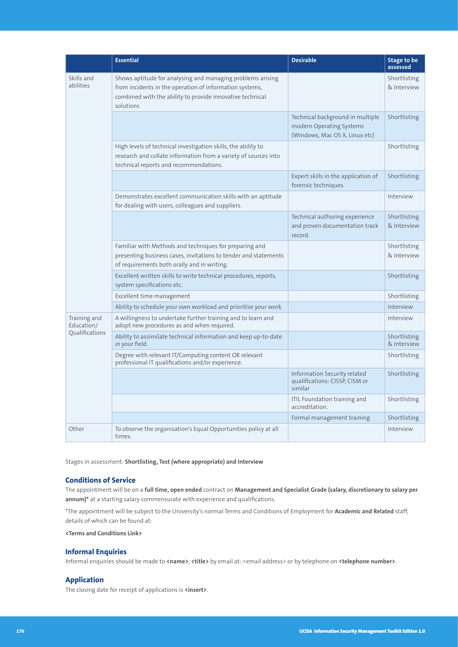|                                              | <b>Essential</b>                                                                                                                                                                                | <b>Desirable</b>                                                                               | Stage to be<br>assessed     |
|----------------------------------------------|-------------------------------------------------------------------------------------------------------------------------------------------------------------------------------------------------|------------------------------------------------------------------------------------------------|-----------------------------|
| Skills and<br>abilities                      | Shows aptitude for analysing and managing problems arising<br>from incidents in the operation of information systems,<br>combined with the ability to provide innovative technical<br>solutions |                                                                                                | Shortlisting<br>& Interview |
|                                              |                                                                                                                                                                                                 | Technical background in multiple<br>modern Operating Systems<br>(Windows, Mac OS X, Linux etc) | Shortlisting                |
|                                              | High levels of technical investigation skills, the ability to<br>research and collate information from a variety of sources into<br>technical reports and recommendations.                      |                                                                                                | Shortlisting                |
|                                              |                                                                                                                                                                                                 | Expert skills in the application of<br>forensic techniques.                                    | Shortlisting                |
|                                              | Demonstrates excellent communication skills with an aptitude<br>for dealing with users, colleagues and suppliers.                                                                               |                                                                                                | Interview                   |
|                                              |                                                                                                                                                                                                 | Technical authoring experience<br>and proven documentation track<br>record.                    | Shortlisting<br>& Interview |
|                                              | Familiar with Methods and techniques for preparing and<br>presenting business cases, invitations to tender and statements<br>of requirements both orally and in writing.                        |                                                                                                | Shortlisting<br>& Interview |
|                                              | Excellent written skills to write technical procedures, reports,<br>system specifications etc.                                                                                                  |                                                                                                | Shortlisting                |
|                                              | Excellent time management                                                                                                                                                                       |                                                                                                | Shortlisting                |
|                                              | Ability to schedule your own workload and prioritise your work.                                                                                                                                 |                                                                                                | Interview                   |
| Training and<br>Education/<br>Qualifications | A willingness to undertake further training and to learn and<br>adopt new procedures as and when required.                                                                                      |                                                                                                | Interview                   |
|                                              | Ability to assimilate technical information and keep up-to-date<br>in your field.                                                                                                               |                                                                                                | Shortlisting<br>& Interview |
|                                              | Degree with relevant IT/Computing content OR relevant<br>professional IT qualifications and/or experience.                                                                                      |                                                                                                | Shortlisting                |
|                                              |                                                                                                                                                                                                 | Information Security related<br>qualifications: CISSP, CISM or<br>similar                      | Shortlisting                |
|                                              |                                                                                                                                                                                                 | ITIL Foundation training and<br>accreditation.                                                 | Shortlisting                |
|                                              |                                                                                                                                                                                                 | Formal management training                                                                     | Shortlisting                |
| Other                                        | To observe the organisation's Equal Opportunities policy at all<br>times.                                                                                                                       |                                                                                                | Interview                   |

Stages in assessment: **Shortlisting, Test (where appropriate) and Interview**

#### **Conditions of Service**

The appointment will be on a **full time, open ended** contract on **Management and Specialist Grade (salary, discretionary to salary per annum)\*** at a starting salary commensurate with experience and qualifications.

\*The appointment will be subject to the University's normal Terms and Conditions of Employment for **Academic and Related** staff, details of which can be found at:

**<Terms and Conditions Link>**

#### **Informal Enquiries**

Informal enquiries should be made to **<name>**, **<title>** by email at: <email address> or by telephone on **<telephone number>**.

#### **Application**

The closing date for receipt of applications is **<insert>**.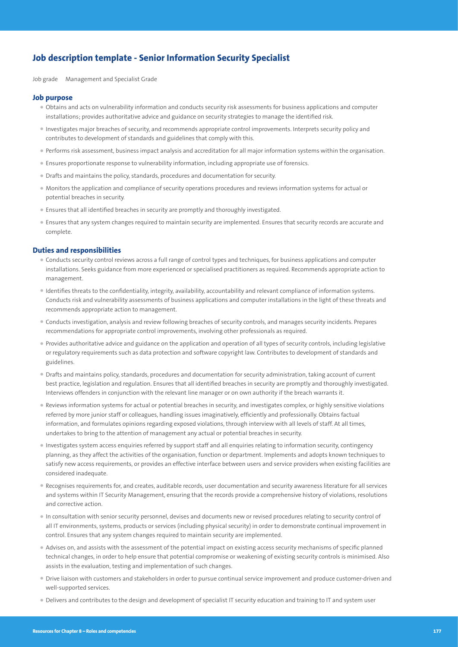# **Job description template - Senior Information Security Specialist**

Job grade Management and Specialist Grade

#### **Job purpose**

- Obtains and acts on vulnerability information and conducts security risk assessments for business applications and computer installations; provides authoritative advice and guidance on security strategies to manage the identified risk.
- Investigates major breaches of security, and recommends appropriate control improvements. Interprets security policy and contributes to development of standards and guidelines that comply with this.
- Performs risk assessment, business impact analysis and accreditation for all major information systems within the organisation.
- Ensures proportionate response to vulnerability information, including appropriate use of forensics.
- Drafts and maintains the policy, standards, procedures and documentation for security.
- Monitors the application and compliance of security operations procedures and reviews information systems for actual or potential breaches in security.
- Ensures that all identified breaches in security are promptly and thoroughly investigated.
- Ensures that any system changes required to maintain security are implemented. Ensures that security records are accurate and complete.

#### **Duties and responsibilities**

- Conducts security control reviews across a full range of control types and techniques, for business applications and computer installations. Seeks guidance from more experienced or specialised practitioners as required. Recommends appropriate action to management.
- Identifies threats to the confidentiality, integrity, availability, accountability and relevant compliance of information systems. Conducts risk and vulnerability assessments of business applications and computer installations in the light of these threats and recommends appropriate action to management.
- Conducts investigation, analysis and review following breaches of security controls, and manages security incidents. Prepares recommendations for appropriate control improvements, involving other professionals as required.
- Provides authoritative advice and guidance on the application and operation of all types of security controls, including legislative or regulatory requirements such as data protection and software copyright law. Contributes to development of standards and guidelines.
- Drafts and maintains policy, standards, procedures and documentation for security administration, taking account of current best practice, legislation and regulation. Ensures that all identified breaches in security are promptly and thoroughly investigated. Interviews offenders in conjunction with the relevant line manager or on own authority if the breach warrants it.
- Reviews information systems for actual or potential breaches in security, and investigates complex, or highly sensitive violations referred by more junior staff or colleagues, handling issues imaginatively, efficiently and professionally. Obtains factual information, and formulates opinions regarding exposed violations, through interview with all levels of staff. At all times, undertakes to bring to the attention of management any actual or potential breaches in security.
- Investigates system access enquiries referred by support staff and all enquiries relating to information security, contingency planning, as they affect the activities of the organisation, function or department. Implements and adopts known techniques to satisfy new access requirements, or provides an effective interface between users and service providers when existing facilities are considered inadequate.
- Recognises requirements for, and creates, auditable records, user documentation and security awareness literature for all services and systems within IT Security Management, ensuring that the records provide a comprehensive history of violations, resolutions and corrective action.
- In consultation with senior security personnel, devises and documents new or revised procedures relating to security control of all IT environments, systems, products or services (including physical security) in order to demonstrate continual improvement in control. Ensures that any system changes required to maintain security are implemented.
- Advises on, and assists with the assessment of the potential impact on existing access security mechanisms of specific planned technical changes, in order to help ensure that potential compromise or weakening of existing security controls is minimised. Also assists in the evaluation, testing and implementation of such changes.
- Drive liaison with customers and stakeholders in order to pursue continual service improvement and produce customer-driven and well-supported services.
- Delivers and contributes to the design and development of specialist IT security education and training to IT and system user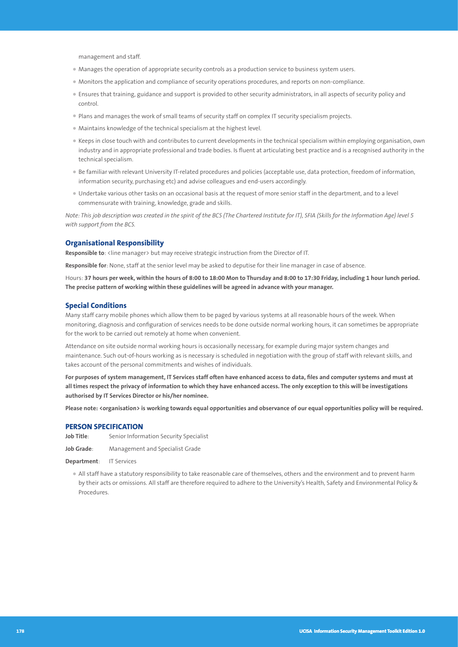management and staff.

- Manages the operation of appropriate security controls as a production service to business system users.
- Monitors the application and compliance of security operations procedures, and reports on non-compliance.
- Ensures that training, guidance and support is provided to other security administrators, in all aspects of security policy and control.
- Plans and manages the work of small teams of security staff on complex IT security specialism projects.
- Maintains knowledge of the technical specialism at the highest level.
- Keeps in close touch with and contributes to current developments in the technical specialism within employing organisation, own industry and in appropriate professional and trade bodies. Is fluent at articulating best practice and is a recognised authority in the technical specialism.
- Be familiar with relevant University IT-related procedures and policies (acceptable use, data protection, freedom of information, information security, purchasing etc) and advise colleagues and end-users accordingly.
- Undertake various other tasks on an occasional basis at the request of more senior staff in the department, and to a level commensurate with training, knowledge, grade and skills.

*Note: This job description was created in the spirit of the BCS (The Chartered Institute for IT), SFIA (Skills for the Information Age) level 5 with support from the BCS.*

#### **Organisational Responsibility**

Responsible to: <line manager> but may receive strategic instruction from the Director of IT.

**Responsible for**: None, staff at the senior level may be asked to deputise for their line manager in case of absence.

Hours: **37 hours per week, within the hours of 8:00 to 18:00 Mon to Thursday and 8:00 to 17:30 Friday, including 1 hour lunch period. The precise pattern of working within these guidelines will be agreed in advance with your manager.**

#### **Special Conditions**

Many staff carry mobile phones which allow them to be paged by various systems at all reasonable hours of the week. When monitoring, diagnosis and configuration of services needs to be done outside normal working hours, it can sometimes be appropriate for the work to be carried out remotely at home when convenient.

Attendance on site outside normal working hours is occasionally necessary, for example during major system changes and maintenance. Such out-of-hours working as is necessary is scheduled in negotiation with the group of staff with relevant skills, and takes account of the personal commitments and wishes of individuals.

**For purposes of system management, IT Services staff often have enhanced access to data, files and computer systems and must at all times respect the privacy of information to which they have enhanced access. The only exception to this will be investigations authorised by IT Services Director or his/her nominee.** 

**Please note: <organisation> is working towards equal opportunities and observance of our equal opportunities policy will be required.**

#### **PERSON SPECIFICATION**

**Job Title**: Senior Information Security Specialist

**Job Grade**: Management and Specialist Grade

**Department**: IT Services

• All staff have a statutory responsibility to take reasonable care of themselves, others and the environment and to prevent harm by their acts or omissions. All staff are therefore required to adhere to the University's Health, Safety and Environmental Policy & Procedures.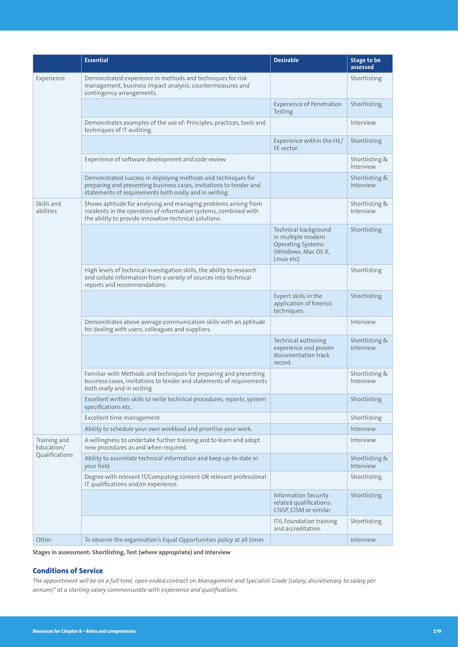|                            | <b>Essential</b>                                                                                                                                                                              | <b>Desirable</b>                                                                                            | <b>Stage to be</b><br>assessed |
|----------------------------|-----------------------------------------------------------------------------------------------------------------------------------------------------------------------------------------------|-------------------------------------------------------------------------------------------------------------|--------------------------------|
| Experience                 | Demonstrated experience in methods and techniques for risk<br>management, business impact analysis, countermeasures and<br>contingency arrangements.                                          |                                                                                                             | Shortlisting                   |
|                            |                                                                                                                                                                                               | <b>Experience of Penetration</b><br>Testing                                                                 | Shortlisting                   |
|                            | Demonstrates examples of the use of: Principles, practices, tools and<br>techniques of IT auditing.                                                                                           |                                                                                                             | Interview                      |
|                            |                                                                                                                                                                                               | Experience within the HE/<br>FE sector.                                                                     | Shortlisting                   |
|                            | Experience of software development and code review                                                                                                                                            |                                                                                                             | Shortlisting &<br>Interview    |
|                            | Demonstrated success in deploying methods and techniques for<br>preparing and presenting business cases, invitations to tender and<br>statements of requirements both orally and in writing.  |                                                                                                             | Shortlisting &<br>Interview    |
| Skills and<br>abilities    | Shows aptitude for analysing and managing problems arising from<br>incidents in the operation of information systems, combined with<br>the ability to provide innovative technical solutions. |                                                                                                             | Shortlisting &<br>Interview    |
|                            |                                                                                                                                                                                               | Technical background<br>in multiple modern<br><b>Operating Systems</b><br>(Windows, Mac OS X,<br>Linux etc) | Shortlisting                   |
|                            | High levels of technical investigation skills, the ability to research<br>and collate information from a variety of sources into technical<br>reports and recommendations.                    |                                                                                                             | Shortlisting                   |
|                            |                                                                                                                                                                                               | Expert skills in the<br>application of forensic<br>techniques.                                              | Shortlisting                   |
|                            | Demonstrates above average communication skills with an aptitude<br>for dealing with users, colleagues and suppliers.                                                                         |                                                                                                             | Interview                      |
|                            |                                                                                                                                                                                               | Technical authoring<br>experience and proven<br>documentation track<br>record.                              | Shortlisting &<br>Interview    |
|                            | Familiar with Methods and techniques for preparing and presenting<br>business cases, invitations to tender and statements of requirements<br>both orally and in writing.                      |                                                                                                             | Shortlisting &<br>Interview    |
|                            | Excellent written skills to write technical procedures, reports, system<br>specifications etc.                                                                                                |                                                                                                             | Shortlisting                   |
|                            | Excellent time management                                                                                                                                                                     |                                                                                                             | Shortlisting                   |
|                            | Ability to schedule your own workload and prioritise your work.                                                                                                                               |                                                                                                             | Interview                      |
| Training and<br>Education/ | A willingness to undertake further training and to learn and adopt<br>new procedures as and when required.                                                                                    |                                                                                                             | Interview                      |
| Qualifications             | Ability to assimilate technical information and keep up-to-date in<br>your field.                                                                                                             |                                                                                                             | Shortlisting &<br>Interview    |
|                            | Degree with relevant IT/Computing content OR relevant professional<br>IT qualifications and/or experience.                                                                                    |                                                                                                             | Shortlisting                   |
|                            |                                                                                                                                                                                               | <b>Information Security</b><br>related qualifications:<br>CISSP, CISM or similar                            | Shortlisting                   |
|                            |                                                                                                                                                                                               | <b>ITIL Foundation training</b><br>and accreditation.                                                       | Shortlisting                   |
| Other                      | To observe the organisation's Equal Opportunities policy at all times.                                                                                                                        |                                                                                                             | Interview                      |

**Stages in assessment: Shortlisting, Test (where appropriate) and Interview**

# **Conditions of Service**

*The appointment will be on a full time, open ended contract on Management and Specialist Grade (salary, discretionary to salary per annum)\* at a starting salary commensurate with experience and qualifications.*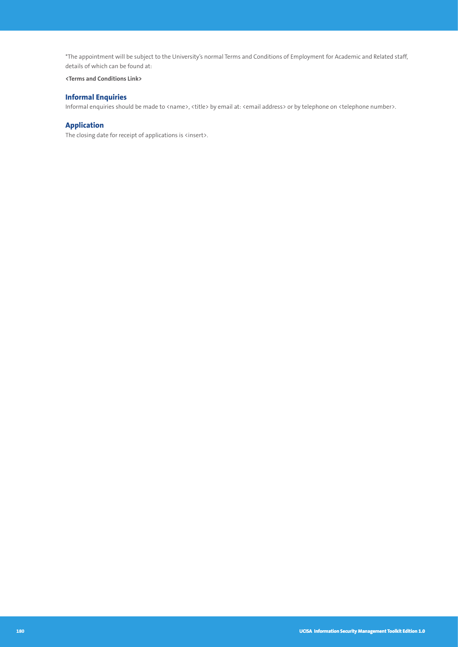\*The appointment will be subject to the University's normal Terms and Conditions of Employment for Academic and Related staff, details of which can be found at:

#### **<Terms and Conditions Link>**

# **Informal Enquiries**

Informal enquiries should be made to <name>, <title> by email at: <email address> or by telephone on <telephone number>.

# **Application**

The closing date for receipt of applications is <insert>.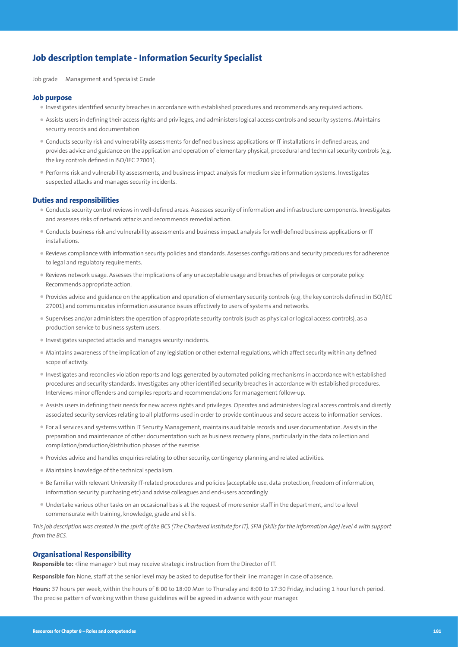# **Job description template - Information Security Specialist**

Job grade Management and Specialist Grade

#### **Job purpose**

- Investigates identified security breaches in accordance with established procedures and recommends any required actions.
- Assists users in defining their access rights and privileges, and administers logical access controls and security systems. Maintains security records and documentation
- Conducts security risk and vulnerability assessments for defined business applications or IT installations in defined areas, and provides advice and guidance on the application and operation of elementary physical, procedural and technical security controls (e.g. the key controls defined in ISO/IEC 27001).
- Performs risk and vulnerability assessments, and business impact analysis for medium size information systems. Investigates suspected attacks and manages security incidents.

#### **Duties and responsibilities**

- Conducts security control reviews in well-defined areas. Assesses security of information and infrastructure components. Investigates and assesses risks of network attacks and recommends remedial action.
- Conducts business risk and vulnerability assessments and business impact analysis for well-defined business applications or IT installations.
- Reviews compliance with information security policies and standards. Assesses configurations and security procedures for adherence to legal and regulatory requirements.
- Reviews network usage. Assesses the implications of any unacceptable usage and breaches of privileges or corporate policy. Recommends appropriate action.
- Provides advice and guidance on the application and operation of elementary security controls (e.g. the key controls defined in ISO/IEC 27001) and communicates information assurance issues effectively to users of systems and networks.
- Supervises and/or administers the operation of appropriate security controls (such as physical or logical access controls), as a production service to business system users.
- Investigates suspected attacks and manages security incidents.
- Maintains awareness of the implication of any legislation or other external regulations, which affect security within any defined scope of activity.
- Investigates and reconciles violation reports and logs generated by automated policing mechanisms in accordance with established procedures and security standards. Investigates any other identified security breaches in accordance with established procedures. Interviews minor offenders and compiles reports and recommendations for management follow-up.
- Assists users in defining their needs for new access rights and privileges. Operates and administers logical access controls and directly associated security services relating to all platforms used in order to provide continuous and secure access to information services.
- For all services and systems within IT Security Management, maintains auditable records and user documentation. Assists in the preparation and maintenance of other documentation such as business recovery plans, particularly in the data collection and compilation/production/distribution phases of the exercise.
- Provides advice and handles enquiries relating to other security, contingency planning and related activities.
- Maintains knowledge of the technical specialism.
- Be familiar with relevant University IT-related procedures and policies (acceptable use, data protection, freedom of information, information security, purchasing etc) and advise colleagues and end-users accordingly.
- Undertake various other tasks on an occasional basis at the request of more senior staff in the department, and to a level commensurate with training, knowledge, grade and skills.

*This job description was created in the spirit of the BCS (The Chartered Institute for IT), SFIA (Skills for the Information Age) level 4 with support from the BCS.*

#### **Organisational Responsibility**

Responsible to: <line manager> but may receive strategic instruction from the Director of IT.

**Responsible for:** None, staff at the senior level may be asked to deputise for their line manager in case of absence.

**Hours:** 37 hours per week, within the hours of 8:00 to 18:00 Mon to Thursday and 8:00 to 17:30 Friday, including 1 hour lunch period. The precise pattern of working within these guidelines will be agreed in advance with your manager.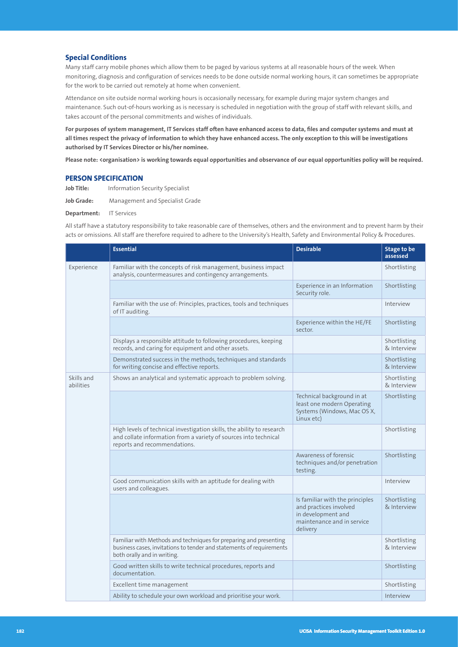### **Special Conditions**

Many staff carry mobile phones which allow them to be paged by various systems at all reasonable hours of the week. When monitoring, diagnosis and configuration of services needs to be done outside normal working hours, it can sometimes be appropriate for the work to be carried out remotely at home when convenient.

Attendance on site outside normal working hours is occasionally necessary, for example during major system changes and maintenance. Such out-of-hours working as is necessary is scheduled in negotiation with the group of staff with relevant skills, and takes account of the personal commitments and wishes of individuals.

**For purposes of system management, IT Services staff often have enhanced access to data, files and computer systems and must at all times respect the privacy of information to which they have enhanced access. The only exception to this will be investigations authorised by IT Services Director or his/her nominee.** 

**Please note: <organisation> is working towards equal opportunities and observance of our equal opportunities policy will be required.**

#### **PERSON SPECIFICATION**

**Job Title:** Information Security Specialist

**Job Grade:** Management and Specialist Grade

**Department:** IT Services

All staff have a statutory responsibility to take reasonable care of themselves, others and the environment and to prevent harm by their acts or omissions. All staff are therefore required to adhere to the University's Health, Safety and Environmental Policy & Procedures.

|                         | <b>Essential</b>                                                                                                                                                           | <b>Desirable</b>                                                                                                          | <b>Stage to be</b><br>assessed |
|-------------------------|----------------------------------------------------------------------------------------------------------------------------------------------------------------------------|---------------------------------------------------------------------------------------------------------------------------|--------------------------------|
| Experience              | Familiar with the concepts of risk management, business impact<br>analysis, countermeasures and contingency arrangements.                                                  |                                                                                                                           | Shortlisting                   |
|                         |                                                                                                                                                                            | Experience in an Information<br>Security role.                                                                            | Shortlisting                   |
|                         | Familiar with the use of: Principles, practices, tools and techniques<br>of IT auditing.                                                                                   |                                                                                                                           | Interview                      |
|                         |                                                                                                                                                                            | Experience within the HE/FE<br>sector.                                                                                    | Shortlisting                   |
|                         | Displays a responsible attitude to following procedures, keeping<br>records, and caring for equipment and other assets.                                                    |                                                                                                                           | Shortlisting<br>& Interview    |
|                         | Demonstrated success in the methods, techniques and standards<br>for writing concise and effective reports.                                                                |                                                                                                                           | Shortlisting<br>& Interview    |
| Skills and<br>abilities | Shows an analytical and systematic approach to problem solving.                                                                                                            |                                                                                                                           | Shortlisting<br>& Interview    |
|                         |                                                                                                                                                                            | Technical background in at<br>least one modern Operating<br>Systems (Windows, Mac OS X,<br>Linux etc)                     | Shortlisting                   |
|                         | High levels of technical investigation skills, the ability to research<br>and collate information from a variety of sources into technical<br>reports and recommendations. |                                                                                                                           | Shortlisting                   |
|                         |                                                                                                                                                                            | Awareness of forensic<br>techniques and/or penetration<br>testing.                                                        | Shortlisting                   |
|                         | Good communication skills with an aptitude for dealing with<br>users and colleagues.                                                                                       |                                                                                                                           | Interview                      |
|                         |                                                                                                                                                                            | Is familiar with the principles<br>and practices involved<br>in development and<br>maintenance and in service<br>delivery | Shortlisting<br>& Interview    |
|                         | Familiar with Methods and techniques for preparing and presenting<br>business cases, invitations to tender and statements of requirements<br>both orally and in writing.   |                                                                                                                           | Shortlisting<br>& Interview    |
|                         | Good written skills to write technical procedures, reports and<br>documentation.                                                                                           |                                                                                                                           | Shortlisting                   |
|                         | Excellent time management                                                                                                                                                  |                                                                                                                           | Shortlisting                   |
|                         | Ability to schedule your own workload and prioritise your work.                                                                                                            |                                                                                                                           | Interview                      |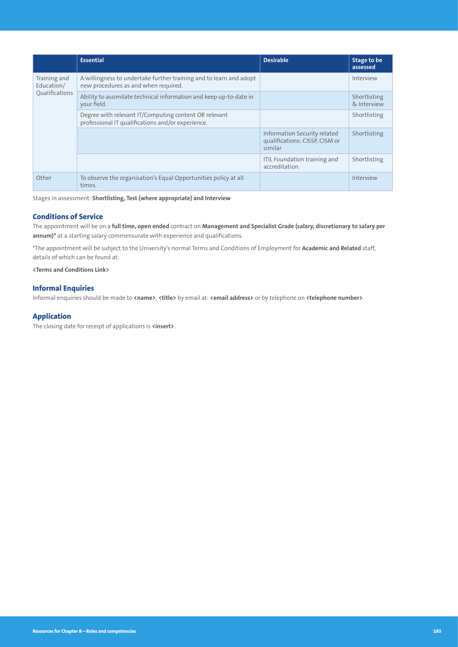|                                              | <b>Essential</b>                                                                                           | <b>Desirable</b>                                                          | Stage to be<br>assessed     |
|----------------------------------------------|------------------------------------------------------------------------------------------------------------|---------------------------------------------------------------------------|-----------------------------|
| Training and<br>Education/<br>Oualifications | A willingness to undertake further training and to learn and adopt<br>new procedures as and when required. |                                                                           | Interview                   |
|                                              | Ability to assimilate technical information and keep up-to-date in<br>your field.                          |                                                                           | Shortlisting<br>& Interview |
|                                              | Degree with relevant IT/Computing content OR relevant<br>professional IT qualifications and/or experience. |                                                                           | Shortlisting                |
|                                              |                                                                                                            | Information Security related<br>qualifications: CISSP, CISM or<br>similar | Shortlisting                |
|                                              |                                                                                                            | ITIL Foundation training and<br>accreditation.                            | Shortlisting                |
| Other                                        | To observe the organisation's Equal Opportunities policy at all<br>times.                                  |                                                                           | Interview                   |

Stages in assessment: **Shortlisting, Test (where appropriate) and Interview**

## **Conditions of Service**

The appointment will be on a **full time, open ended** contract on **Management and Specialist Grade (salary, discretionary to salary per annum)\*** at a starting salary commensurate with experience and qualifications.

\*The appointment will be subject to the University's normal Terms and Conditions of Employment for **Academic and Related** staff, details of which can be found at:

**<Terms and Conditions Link>**

#### **Informal Enquiries**

Informal enquiries should be made to **<name>**, **<title>** by email at: **<email address>** or by telephone on **<telephone number>**.

#### **Application**

The closing date for receipt of applications is **<insert>**.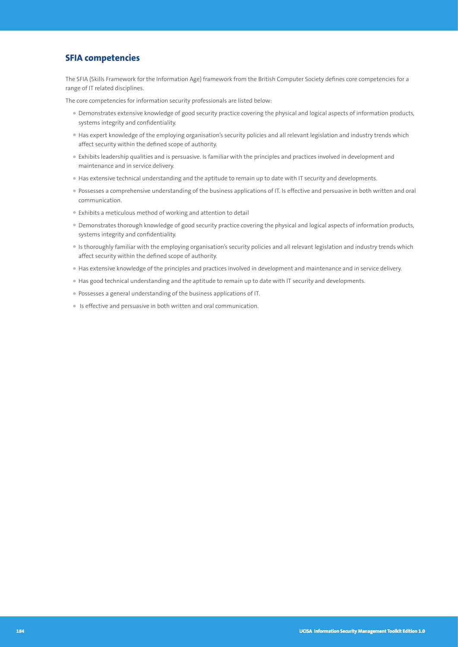# **SFIA competencies**

The SFIA (Skills Framework for the Information Age) framework from the British Computer Society defines core competencies for a range of IT related disciplines.

The core competencies for information security professionals are listed below:

- Demonstrates extensive knowledge of good security practice covering the physical and logical aspects of information products, systems integrity and confidentiality.
- Has expert knowledge of the employing organisation's security policies and all relevant legislation and industry trends which affect security within the defined scope of authority.
- Exhibits leadership qualities and is persuasive. Is familiar with the principles and practices involved in development and maintenance and in service delivery.
- Has extensive technical understanding and the aptitude to remain up to date with IT security and developments.
- Possesses a comprehensive understanding of the business applications of IT. Is effective and persuasive in both written and oral communication.
- Exhibits a meticulous method of working and attention to detail
- Demonstrates thorough knowledge of good security practice covering the physical and logical aspects of information products, systems integrity and confidentiality.
- Is thoroughly familiar with the employing organisation's security policies and all relevant legislation and industry trends which affect security within the defined scope of authority.
- Has extensive knowledge of the principles and practices involved in development and maintenance and in service delivery.
- Has good technical understanding and the aptitude to remain up to date with IT security and developments.
- Possesses a general understanding of the business applications of IT.
- Is effective and persuasive in both written and oral communication.